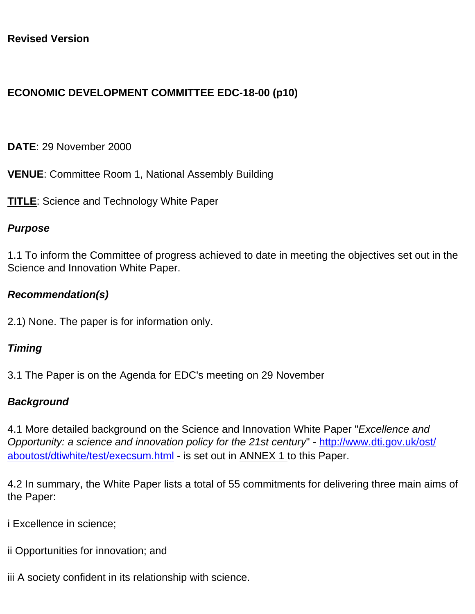# **ECONOMIC DEVELOPMENT COMMITTEE EDC-18-00 (p10)**

**DATE**: 29 November 2000

**VENUE**: Committee Room 1, National Assembly Building

**TITLE**: Science and Technology White Paper

#### *Purpose*

1.1 To inform the Committee of progress achieved to date in meeting the objectives set out in the Science and Innovation White Paper.

#### *Recommendation(s)*

2.1) None. The paper is for information only.

## *Timing*

3.1 The Paper is on the Agenda for EDC's meeting on 29 November

## *Background*

4.1 More detailed background on the Science and Innovation White Paper "*Excellence and Opportunity: a science and innovation policy for the 21st century*" - [http://www.dti.gov.uk/ost/](http://www.dti.gov.uk/ost/aboutost/dtiwhite/test/execsum.html) [aboutost/dtiwhite/test/execsum.html](http://www.dti.gov.uk/ost/aboutost/dtiwhite/test/execsum.html) - is set out in ANNEX 1 to this Paper.

4.2 In summary, the White Paper lists a total of 55 commitments for delivering three main aims of the Paper:

i Excellence in science;

- ii Opportunities for innovation; and
- iii A society confident in its relationship with science.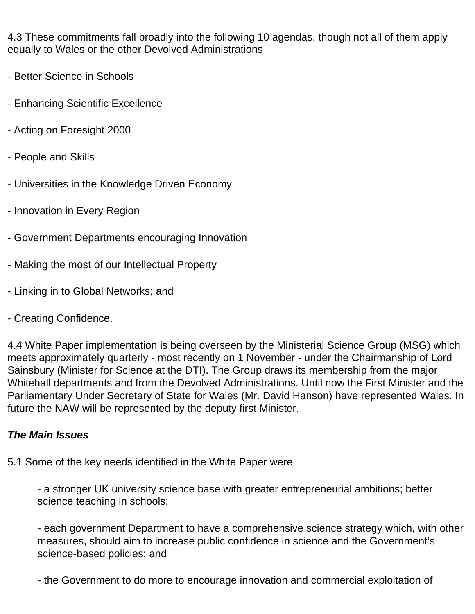4.3 These commitments fall broadly into the following 10 agendas, though not all of them apply equally to Wales or the other Devolved Administrations

- Better Science in Schools
- Enhancing Scientific Excellence
- Acting on Foresight 2000
- People and Skills
- Universities in the Knowledge Driven Economy
- Innovation in Every Region
- Government Departments encouraging Innovation
- Making the most of our Intellectual Property
- Linking in to Global Networks; and
- Creating Confidence.

4.4 White Paper implementation is being overseen by the Ministerial Science Group (MSG) which meets approximately quarterly - most recently on 1 November - under the Chairmanship of Lord Sainsbury (Minister for Science at the DTI). The Group draws its membership from the major Whitehall departments and from the Devolved Administrations. Until now the First Minister and the Parliamentary Under Secretary of State for Wales (Mr. David Hanson) have represented Wales. In future the NAW will be represented by the deputy first Minister.

## *The Main Issues*

5.1 Some of the key needs identified in the White Paper were

- a stronger UK university science base with greater entrepreneurial ambitions; better science teaching in schools;

- each government Department to have a comprehensive science strategy which, with other measures, should aim to increase public confidence in science and the Government's science-based policies; and

- the Government to do more to encourage innovation and commercial exploitation of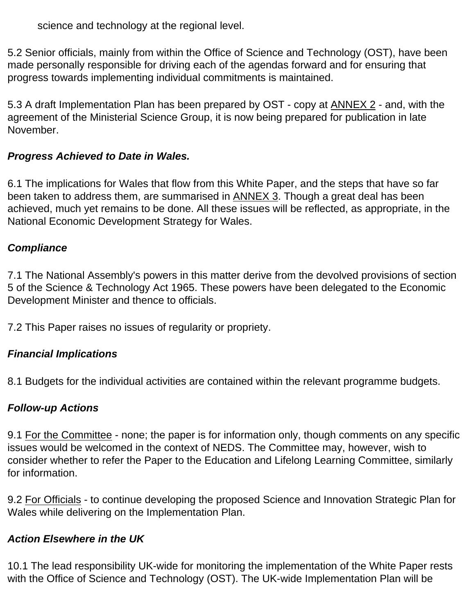science and technology at the regional level.

5.2 Senior officials, mainly from within the Office of Science and Technology (OST), have been made personally responsible for driving each of the agendas forward and for ensuring that progress towards implementing individual commitments is maintained.

5.3 A draft Implementation Plan has been prepared by OST - copy at ANNEX 2 - and, with the agreement of the Ministerial Science Group, it is now being prepared for publication in late November.

#### *Progress Achieved to Date in Wales.*

6.1 The implications for Wales that flow from this White Paper, and the steps that have so far been taken to address them, are summarised in ANNEX 3. Though a great deal has been achieved, much yet remains to be done. All these issues will be reflected, as appropriate, in the National Economic Development Strategy for Wales.

#### *Compliance*

7.1 The National Assembly's powers in this matter derive from the devolved provisions of section 5 of the Science & Technology Act 1965. These powers have been delegated to the Economic Development Minister and thence to officials.

7.2 This Paper raises no issues of regularity or propriety.

## *Financial Implications*

8.1 Budgets for the individual activities are contained within the relevant programme budgets.

## *Follow-up Actions*

9.1 For the Committee - none; the paper is for information only, though comments on any specific issues would be welcomed in the context of NEDS. The Committee may, however, wish to consider whether to refer the Paper to the Education and Lifelong Learning Committee, similarly for information.

9.2 For Officials - to continue developing the proposed Science and Innovation Strategic Plan for Wales while delivering on the Implementation Plan.

## *Action Elsewhere in the UK*

10.1 The lead responsibility UK-wide for monitoring the implementation of the White Paper rests with the Office of Science and Technology (OST). The UK-wide Implementation Plan will be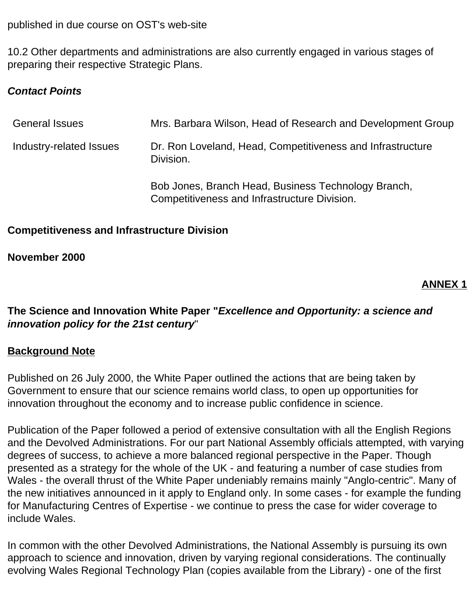10.2 Other departments and administrations are also currently engaged in various stages of preparing their respective Strategic Plans.

#### *Contact Points*

| <b>General Issues</b>   | Mrs. Barbara Wilson, Head of Research and Development Group                                         |
|-------------------------|-----------------------------------------------------------------------------------------------------|
| Industry-related Issues | Dr. Ron Loveland, Head, Competitiveness and Infrastructure<br>Division.                             |
|                         | Bob Jones, Branch Head, Business Technology Branch,<br>Competitiveness and Infrastructure Division. |

#### **Competitiveness and Infrastructure Division**

**November 2000**

#### **ANNEX 1**

## **The Science and Innovation White Paper "***Excellence and Opportunity: a science and innovation policy for the 21st century*"

#### **Background Note**

Published on 26 July 2000, the White Paper outlined the actions that are being taken by Government to ensure that our science remains world class, to open up opportunities for innovation throughout the economy and to increase public confidence in science.

Publication of the Paper followed a period of extensive consultation with all the English Regions and the Devolved Administrations. For our part National Assembly officials attempted, with varying degrees of success, to achieve a more balanced regional perspective in the Paper. Though presented as a strategy for the whole of the UK - and featuring a number of case studies from Wales - the overall thrust of the White Paper undeniably remains mainly "Anglo-centric". Many of the new initiatives announced in it apply to England only. In some cases - for example the funding for Manufacturing Centres of Expertise - we continue to press the case for wider coverage to include Wales.

In common with the other Devolved Administrations, the National Assembly is pursuing its own approach to science and innovation, driven by varying regional considerations. The continually evolving Wales Regional Technology Plan (copies available from the Library) - one of the first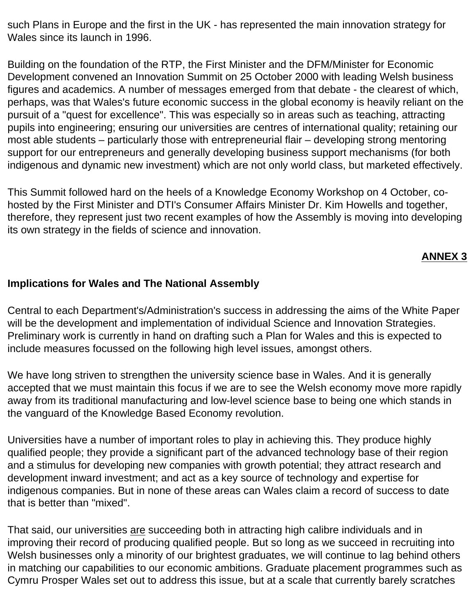such Plans in Europe and the first in the UK - has represented the main innovation strategy for Wales since its launch in 1996.

Building on the foundation of the RTP, the First Minister and the DFM/Minister for Economic Development convened an Innovation Summit on 25 October 2000 with leading Welsh business figures and academics. A number of messages emerged from that debate - the clearest of which, perhaps, was that Wales's future economic success in the global economy is heavily reliant on the pursuit of a "quest for excellence". This was especially so in areas such as teaching, attracting pupils into engineering; ensuring our universities are centres of international quality; retaining our most able students – particularly those with entrepreneurial flair – developing strong mentoring support for our entrepreneurs and generally developing business support mechanisms (for both indigenous and dynamic new investment) which are not only world class, but marketed effectively.

This Summit followed hard on the heels of a Knowledge Economy Workshop on 4 October, cohosted by the First Minister and DTI's Consumer Affairs Minister Dr. Kim Howells and together, therefore, they represent just two recent examples of how the Assembly is moving into developing its own strategy in the fields of science and innovation.

#### **ANNEX 3**

#### **Implications for Wales and The National Assembly**

Central to each Department's/Administration's success in addressing the aims of the White Paper will be the development and implementation of individual Science and Innovation Strategies. Preliminary work is currently in hand on drafting such a Plan for Wales and this is expected to include measures focussed on the following high level issues, amongst others.

We have long striven to strengthen the university science base in Wales. And it is generally accepted that we must maintain this focus if we are to see the Welsh economy move more rapidly away from its traditional manufacturing and low-level science base to being one which stands in the vanguard of the Knowledge Based Economy revolution.

Universities have a number of important roles to play in achieving this. They produce highly qualified people; they provide a significant part of the advanced technology base of their region and a stimulus for developing new companies with growth potential; they attract research and development inward investment; and act as a key source of technology and expertise for indigenous companies. But in none of these areas can Wales claim a record of success to date that is better than "mixed".

That said, our universities are succeeding both in attracting high calibre individuals and in improving their record of producing qualified people. But so long as we succeed in recruiting into Welsh businesses only a minority of our brightest graduates, we will continue to lag behind others in matching our capabilities to our economic ambitions. Graduate placement programmes such as Cymru Prosper Wales set out to address this issue, but at a scale that currently barely scratches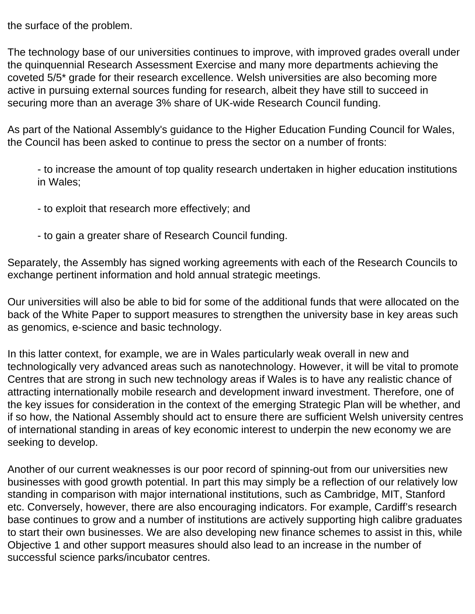the surface of the problem.

The technology base of our universities continues to improve, with improved grades overall under the quinquennial Research Assessment Exercise and many more departments achieving the coveted 5/5\* grade for their research excellence. Welsh universities are also becoming more active in pursuing external sources funding for research, albeit they have still to succeed in securing more than an average 3% share of UK-wide Research Council funding.

As part of the National Assembly's guidance to the Higher Education Funding Council for Wales, the Council has been asked to continue to press the sector on a number of fronts:

- to increase the amount of top quality research undertaken in higher education institutions in Wales;

- to exploit that research more effectively; and
- to gain a greater share of Research Council funding.

Separately, the Assembly has signed working agreements with each of the Research Councils to exchange pertinent information and hold annual strategic meetings.

Our universities will also be able to bid for some of the additional funds that were allocated on the back of the White Paper to support measures to strengthen the university base in key areas such as genomics, e-science and basic technology.

In this latter context, for example, we are in Wales particularly weak overall in new and technologically very advanced areas such as nanotechnology. However, it will be vital to promote Centres that are strong in such new technology areas if Wales is to have any realistic chance of attracting internationally mobile research and development inward investment. Therefore, one of the key issues for consideration in the context of the emerging Strategic Plan will be whether, and if so how, the National Assembly should act to ensure there are sufficient Welsh university centres of international standing in areas of key economic interest to underpin the new economy we are seeking to develop.

Another of our current weaknesses is our poor record of spinning-out from our universities new businesses with good growth potential. In part this may simply be a reflection of our relatively low standing in comparison with major international institutions, such as Cambridge, MIT, Stanford etc. Conversely, however, there are also encouraging indicators. For example, Cardiff's research base continues to grow and a number of institutions are actively supporting high calibre graduates to start their own businesses. We are also developing new finance schemes to assist in this, while Objective 1 and other support measures should also lead to an increase in the number of successful science parks/incubator centres.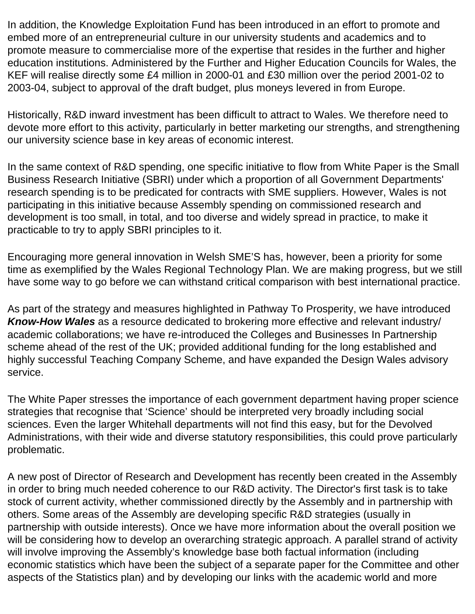In addition, the Knowledge Exploitation Fund has been introduced in an effort to promote and embed more of an entrepreneurial culture in our university students and academics and to promote measure to commercialise more of the expertise that resides in the further and higher education institutions. Administered by the Further and Higher Education Councils for Wales, the KEF will realise directly some £4 million in 2000-01 and £30 million over the period 2001-02 to 2003-04, subject to approval of the draft budget, plus moneys levered in from Europe.

Historically, R&D inward investment has been difficult to attract to Wales. We therefore need to devote more effort to this activity, particularly in better marketing our strengths, and strengthening our university science base in key areas of economic interest.

In the same context of R&D spending, one specific initiative to flow from White Paper is the Small Business Research Initiative (SBRI) under which a proportion of all Government Departments' research spending is to be predicated for contracts with SME suppliers. However, Wales is not participating in this initiative because Assembly spending on commissioned research and development is too small, in total, and too diverse and widely spread in practice, to make it practicable to try to apply SBRI principles to it.

Encouraging more general innovation in Welsh SME'S has, however, been a priority for some time as exemplified by the Wales Regional Technology Plan. We are making progress, but we still have some way to go before we can withstand critical comparison with best international practice.

As part of the strategy and measures highlighted in Pathway To Prosperity, we have introduced *Know-How Wales* as a resource dedicated to brokering more effective and relevant industry/ academic collaborations; we have re-introduced the Colleges and Businesses In Partnership scheme ahead of the rest of the UK; provided additional funding for the long established and highly successful Teaching Company Scheme, and have expanded the Design Wales advisory service.

The White Paper stresses the importance of each government department having proper science strategies that recognise that 'Science' should be interpreted very broadly including social sciences. Even the larger Whitehall departments will not find this easy, but for the Devolved Administrations, with their wide and diverse statutory responsibilities, this could prove particularly problematic.

A new post of Director of Research and Development has recently been created in the Assembly in order to bring much needed coherence to our R&D activity. The Director's first task is to take stock of current activity, whether commissioned directly by the Assembly and in partnership with others. Some areas of the Assembly are developing specific R&D strategies (usually in partnership with outside interests). Once we have more information about the overall position we will be considering how to develop an overarching strategic approach. A parallel strand of activity will involve improving the Assembly's knowledge base both factual information (including economic statistics which have been the subject of a separate paper for the Committee and other aspects of the Statistics plan) and by developing our links with the academic world and more